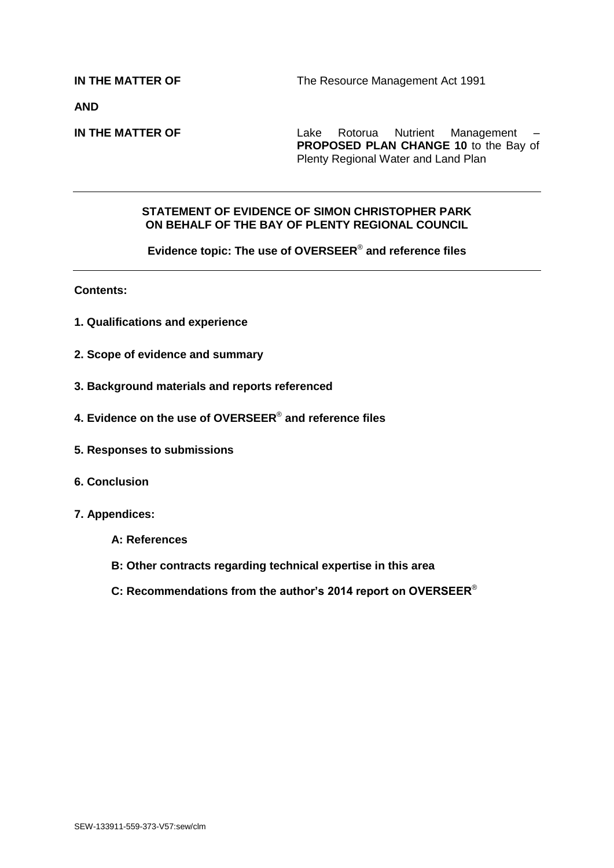**AND**

**IN THE MATTER OF Lake Rotorua Nutrient Management – PROPOSED PLAN CHANGE 10** to the Bay of Plenty Regional Water and Land Plan

#### **STATEMENT OF EVIDENCE OF SIMON CHRISTOPHER PARK ON BEHALF OF THE BAY OF PLENTY REGIONAL COUNCIL**

**Evidence topic: The use of OVERSEER**® **and reference files**

**Contents:**

- **1. Qualifications and experience**
- **2. Scope of evidence and summary**
- **3. Background materials and reports referenced**
- **4. Evidence on the use of OVERSEER**® **and reference files**
- **5. Responses to submissions**
- **6. Conclusion**
- **7. Appendices:**
	- **A: References**
	- **B: Other contracts regarding technical expertise in this area**
	- **C: Recommendations from the author's 2014 report on OVERSEER**®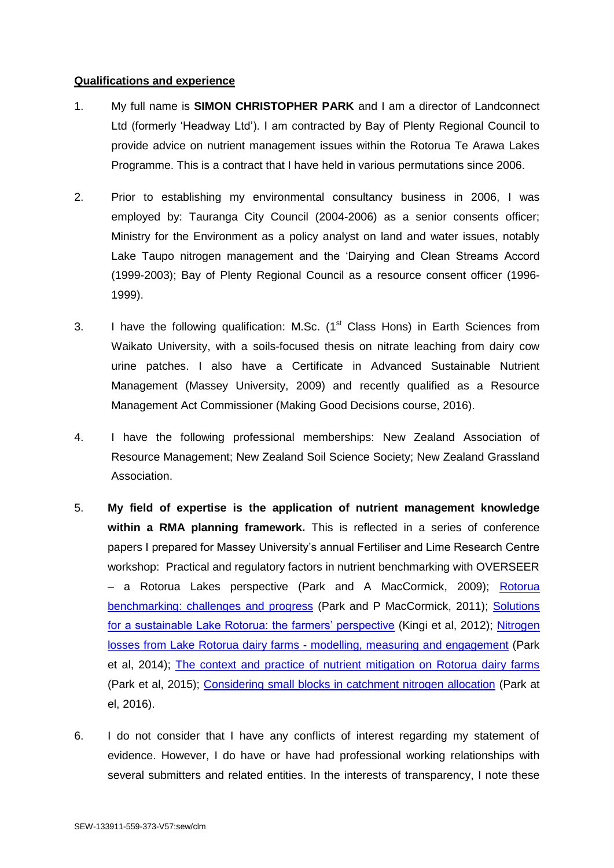### **Qualifications and experience**

- 1. My full name is **SIMON CHRISTOPHER PARK** and I am a director of Landconnect Ltd (formerly 'Headway Ltd'). I am contracted by Bay of Plenty Regional Council to provide advice on nutrient management issues within the Rotorua Te Arawa Lakes Programme. This is a contract that I have held in various permutations since 2006.
- 2. Prior to establishing my environmental consultancy business in 2006, I was employed by: Tauranga City Council (2004-2006) as a senior consents officer; Ministry for the Environment as a policy analyst on land and water issues, notably Lake Taupo nitrogen management and the 'Dairying and Clean Streams Accord (1999-2003); Bay of Plenty Regional Council as a resource consent officer (1996- 1999).
- 3. I have the following qualification: M.Sc.  $(1<sup>st</sup>$  Class Hons) in Earth Sciences from Waikato University, with a soils-focused thesis on nitrate leaching from dairy cow urine patches. I also have a Certificate in Advanced Sustainable Nutrient Management (Massey University, 2009) and recently qualified as a Resource Management Act Commissioner (Making Good Decisions course, 2016).
- 4. I have the following professional memberships: New Zealand Association of Resource Management; New Zealand Soil Science Society; New Zealand Grassland Association.
- 5. **My field of expertise is the application of nutrient management knowledge within a RMA planning framework.** This is reflected in a series of conference papers I prepared for Massey University's annual Fertiliser and Lime Research Centre workshop: Practical and regulatory factors in nutrient benchmarking with OVERSEER – a Rotorua Lakes perspective (Park and A MacCormick, 2009); [Rotorua](http://www.massey.ac.nz/~flrc/workshops/11/Manuscripts/Park_2011.pdf)  [benchmarking: challenges and progress](http://www.massey.ac.nz/~flrc/workshops/11/Manuscripts/Park_2011.pdf) (Park and P MacCormick, 2011); [Solutions](http://www.massey.ac.nz/~flrc/workshops/12/Manuscripts/Kingi_2012.pdf)  [for a sustainable Lake Rotorua: the farmers' perspective](http://www.massey.ac.nz/~flrc/workshops/12/Manuscripts/Kingi_2012.pdf) (Kingi et al, 2012); [Nitrogen](http://www.massey.ac.nz/~flrc/workshops/14/Manuscripts/Paper_Park_2014.pdf)  [losses from Lake Rotorua dairy farms -](http://www.massey.ac.nz/~flrc/workshops/14/Manuscripts/Paper_Park_2014.pdf) modelling, measuring and engagement (Park et al, 2014); [The context and practice of nutrient mitigation on Rotorua dairy farms](http://www.massey.ac.nz/~flrc/workshops/15/Manuscripts/Paper_Park_2015.pdf) (Park et al, 2015); [Considering small blocks in catchment nitrogen allocation](http://www.massey.ac.nz/~flrc/workshops/16/Manuscripts/Paper_Park_2016.pdf) (Park at el, 2016).
- 6. I do not consider that I have any conflicts of interest regarding my statement of evidence. However, I do have or have had professional working relationships with several submitters and related entities. In the interests of transparency, I note these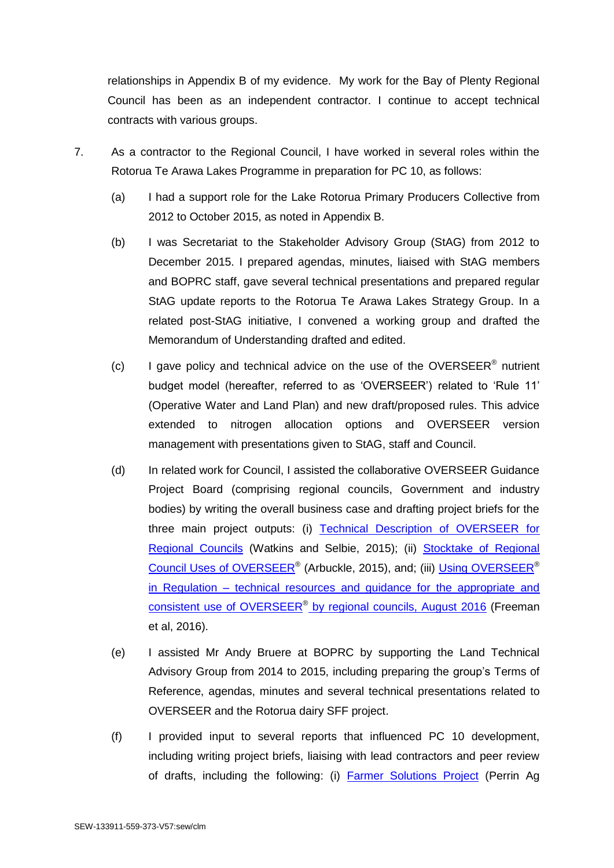relationships in Appendix B of my evidence. My work for the Bay of Plenty Regional Council has been as an independent contractor. I continue to accept technical contracts with various groups.

- 7. As a contractor to the Regional Council, I have worked in several roles within the Rotorua Te Arawa Lakes Programme in preparation for PC 10, as follows:
	- (a) I had a support role for the Lake Rotorua Primary Producers Collective from 2012 to October 2015, as noted in Appendix B.
	- (b) I was Secretariat to the Stakeholder Advisory Group (StAG) from 2012 to December 2015. I prepared agendas, minutes, liaised with StAG members and BOPRC staff, gave several technical presentations and prepared regular StAG update reports to the Rotorua Te Arawa Lakes Strategy Group. In a related post-StAG initiative, I convened a working group and drafted the Memorandum of Understanding drafted and edited.
	- (c) I gave policy and technical advice on the use of the OVERSEER<sup>®</sup> nutrient budget model (hereafter, referred to as 'OVERSEER') related to 'Rule 11' (Operative Water and Land Plan) and new draft/proposed rules. This advice extended to nitrogen allocation options and OVERSEER version management with presentations given to StAG, staff and Council.
	- (d) In related work for Council, I assisted the collaborative OVERSEER Guidance Project Board (comprising regional councils, Government and industry bodies) by writing the overall business case and drafting project briefs for the three main project outputs: (i) Technical Description of OVERSEER for [Regional Councils](http://overseer.org.nz/files/download/1d8121b05b8b934) (Watkins and Selbie, 2015); (ii) [Stocktake of Regional](http://overseer.org.nz/files/download/254238e8c9aa21d)  [Council Uses of OVERSEER](http://overseer.org.nz/files/download/254238e8c9aa21d)® (Arbuckle, 2015), and; (iii) [Using OVERSEER](http://overseer.org.nz/files/download/3575c5f091157fe)<sup>®</sup> [in Regulation](http://overseer.org.nz/files/download/3575c5f091157fe) – technical resources and guidance for the appropriate and consistent use of OVERSEER<sup>®</sup> by regional councils, August 2016 (Freeman et al, 2016).
	- (e) I assisted Mr Andy Bruere at BOPRC by supporting the Land Technical Advisory Group from 2014 to 2015, including preparing the group's Terms of Reference, agendas, minutes and several technical presentations related to OVERSEER and the Rotorua dairy SFF project.
	- (f) I provided input to several reports that influenced PC 10 development, including writing project briefs, liaising with lead contractors and peer review of drafts, including the following: (i) **[Farmer Solutions Project](http://www.rotorualakes.co.nz/vdb/document/363) (Perrin Ag**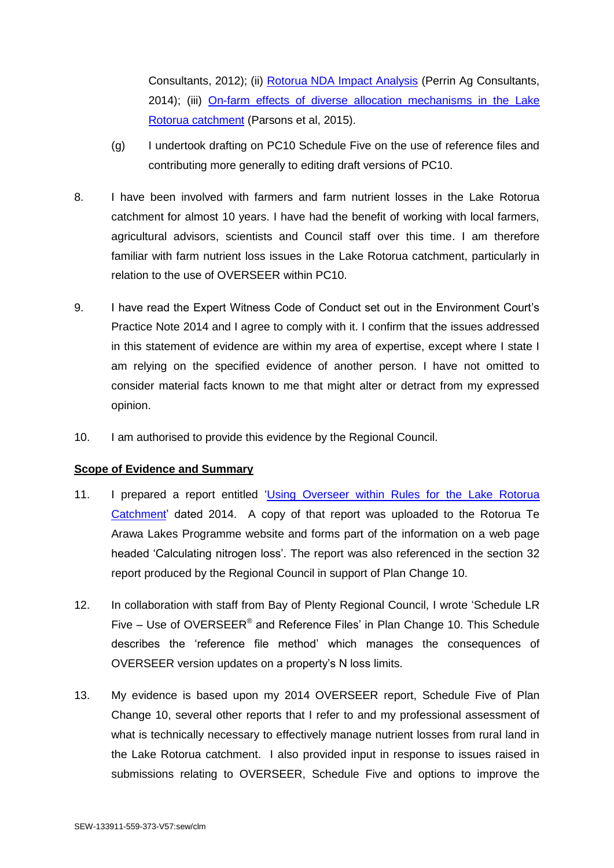Consultants, 2012); (ii) [Rotorua NDA Impact Analysis](http://www.rotorualakes.co.nz/vdb/document/736) (Perrin Ag Consultants, 2014); (iii) [On-farm effects of diverse allocation mechanisms in the Lake](http://www.rotorualakes.co.nz/vdb/document/1379)  [Rotorua catchment](http://www.rotorualakes.co.nz/vdb/document/1379) (Parsons et al, 2015).

- (g) I undertook drafting on PC10 Schedule Five on the use of reference files and contributing more generally to editing draft versions of PC10.
- 8. I have been involved with farmers and farm nutrient losses in the Lake Rotorua catchment for almost 10 years. I have had the benefit of working with local farmers, agricultural advisors, scientists and Council staff over this time. I am therefore familiar with farm nutrient loss issues in the Lake Rotorua catchment, particularly in relation to the use of OVERSEER within PC10.
- 9. I have read the Expert Witness Code of Conduct set out in the Environment Court's Practice Note 2014 and I agree to comply with it. I confirm that the issues addressed in this statement of evidence are within my area of expertise, except where I state I am relying on the specified evidence of another person. I have not omitted to consider material facts known to me that might alter or detract from my expressed opinion.
- 10. I am authorised to provide this evidence by the Regional Council.

# **Scope of Evidence and Summary**

- 11. I prepared a report entitled ['Using Overseer within Rules for the Lake Rotorua](http://www.rotorualakes.co.nz/vdb/document/694)  [Catchment'](http://www.rotorualakes.co.nz/vdb/document/694) dated 2014. A copy of that report was uploaded to the Rotorua Te Arawa Lakes Programme website and forms part of the information on a web page headed 'Calculating nitrogen loss'. The report was also referenced in the section 32 report produced by the Regional Council in support of Plan Change 10.
- 12. In collaboration with staff from Bay of Plenty Regional Council, I wrote 'Schedule LR Five  $-$  Use of OVERSEER<sup>®</sup> and Reference Files' in Plan Change 10. This Schedule describes the 'reference file method' which manages the consequences of OVERSEER version updates on a property's N loss limits.
- 13. My evidence is based upon my 2014 OVERSEER report, Schedule Five of Plan Change 10, several other reports that I refer to and my professional assessment of what is technically necessary to effectively manage nutrient losses from rural land in the Lake Rotorua catchment. I also provided input in response to issues raised in submissions relating to OVERSEER, Schedule Five and options to improve the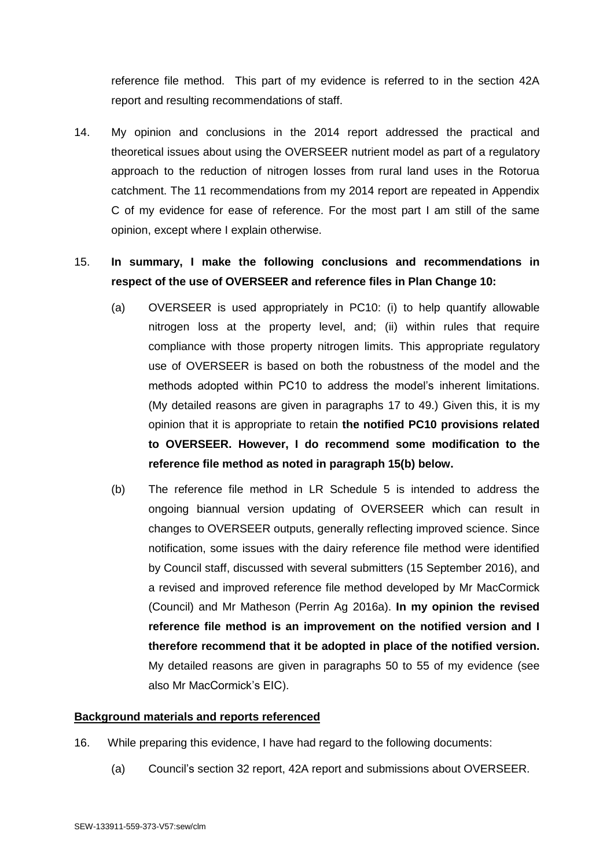reference file method. This part of my evidence is referred to in the section 42A report and resulting recommendations of staff.

14. My opinion and conclusions in the 2014 report addressed the practical and theoretical issues about using the OVERSEER nutrient model as part of a regulatory approach to the reduction of nitrogen losses from rural land uses in the Rotorua catchment. The 11 recommendations from my 2014 report are repeated in Appendix C of my evidence for ease of reference. For the most part I am still of the same opinion, except where I explain otherwise.

# <span id="page-4-0"></span>15. **In summary, I make the following conclusions and recommendations in respect of the use of OVERSEER and reference files in Plan Change 10:**

- (a) OVERSEER is used appropriately in PC10: (i) to help quantify allowable nitrogen loss at the property level, and; (ii) within rules that require compliance with those property nitrogen limits. This appropriate regulatory use of OVERSEER is based on both the robustness of the model and the methods adopted within PC10 to address the model's inherent limitations. (My detailed reasons are given in paragraphs [17](#page-5-0) to [49.](#page-16-0)) Given this, it is my opinion that it is appropriate to retain **the notified PC10 provisions related to OVERSEER. However, I do recommend some modification to the reference file method as noted in paragraph 15(b) below.**
- (b) The reference file method in LR Schedule 5 is intended to address the ongoing biannual version updating of OVERSEER which can result in changes to OVERSEER outputs, generally reflecting improved science. Since notification, some issues with the dairy reference file method were identified by Council staff, discussed with several submitters (15 September 2016), and a revised and improved reference file method developed by Mr MacCormick (Council) and Mr Matheson (Perrin Ag 2016a). **In my opinion the revised reference file method is an improvement on the notified version and I therefore recommend that it be adopted in place of the notified version.** My detailed reasons are given in paragraphs [50](#page-16-1) to [55](#page-18-0) of my evidence (see also Mr MacCormick's EIC).

### **Background materials and reports referenced**

- 16. While preparing this evidence, I have had regard to the following documents:
	- (a) Council's section 32 report, 42A report and submissions about OVERSEER.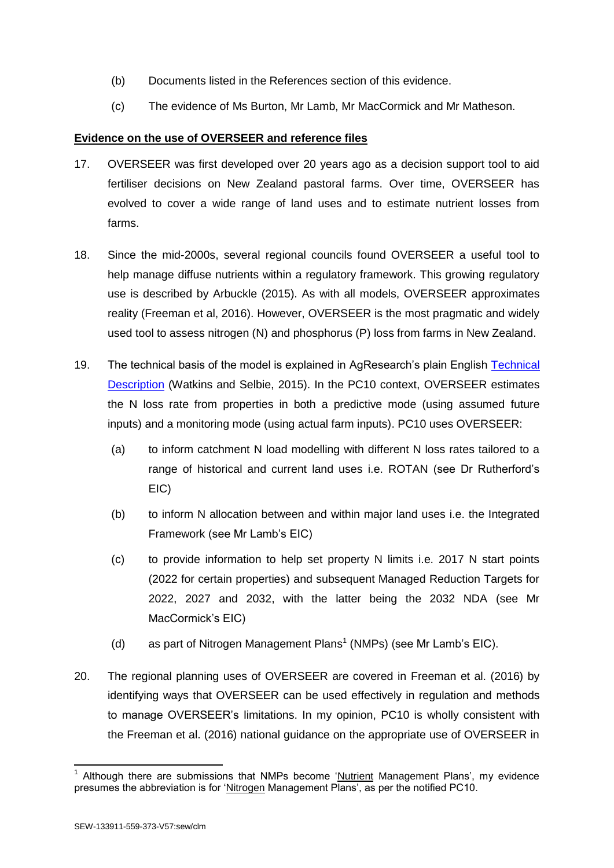- (b) Documents listed in the References section of this evidence.
- (c) The evidence of Ms Burton, Mr Lamb, Mr MacCormick and Mr Matheson.

# **Evidence on the use of OVERSEER and reference files**

- <span id="page-5-0"></span>17. OVERSEER was first developed over 20 years ago as a decision support tool to aid fertiliser decisions on New Zealand pastoral farms. Over time, OVERSEER has evolved to cover a wide range of land uses and to estimate nutrient losses from farms.
- 18. Since the mid-2000s, several regional councils found OVERSEER a useful tool to help manage diffuse nutrients within a regulatory framework. This growing regulatory use is described by Arbuckle (2015). As with all models, OVERSEER approximates reality (Freeman et al, 2016). However, OVERSEER is the most pragmatic and widely used tool to assess nitrogen (N) and phosphorus (P) loss from farms in New Zealand.
- 19. The technical basis of the model is explained in AgResearch's plain English [Technical](http://overseer.org.nz/files/download/1d8121b05b8b934)  [Description](http://overseer.org.nz/files/download/1d8121b05b8b934) (Watkins and Selbie, 2015). In the PC10 context, OVERSEER estimates the N loss rate from properties in both a predictive mode (using assumed future inputs) and a monitoring mode (using actual farm inputs). PC10 uses OVERSEER:
	- (a) to inform catchment N load modelling with different N loss rates tailored to a range of historical and current land uses i.e. ROTAN (see Dr Rutherford's EIC)
	- (b) to inform N allocation between and within major land uses i.e. the Integrated Framework (see Mr Lamb's EIC)
	- (c) to provide information to help set property N limits i.e. 2017 N start points (2022 for certain properties) and subsequent Managed Reduction Targets for 2022, 2027 and 2032, with the latter being the 2032 NDA (see Mr MacCormick's EIC)
	- (d) as part of Nitrogen Management Plans<sup>1</sup> (NMPs) (see Mr Lamb's EIC).
- 20. The regional planning uses of OVERSEER are covered in Freeman et al. (2016) by identifying ways that OVERSEER can be used effectively in regulation and methods to manage OVERSEER's limitations. In my opinion, PC10 is wholly consistent with the Freeman et al. (2016) national guidance on the appropriate use of OVERSEER in

<sup>-</sup>1 Although there are submissions that NMPs become 'Nutrient Management Plans', my evidence presumes the abbreviation is for 'Nitrogen Management Plans', as per the notified PC10.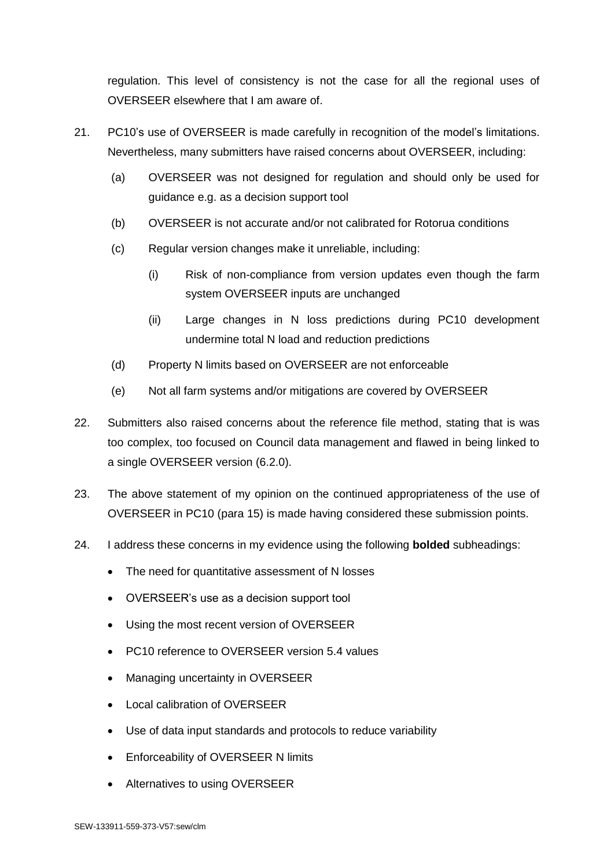regulation. This level of consistency is not the case for all the regional uses of OVERSEER elsewhere that I am aware of.

- <span id="page-6-0"></span>21. PC10's use of OVERSEER is made carefully in recognition of the model's limitations. Nevertheless, many submitters have raised concerns about OVERSEER, including:
	- (a) OVERSEER was not designed for regulation and should only be used for guidance e.g. as a decision support tool
	- (b) OVERSEER is not accurate and/or not calibrated for Rotorua conditions
	- (c) Regular version changes make it unreliable, including:
		- (i) Risk of non-compliance from version updates even though the farm system OVERSEER inputs are unchanged
		- (ii) Large changes in N loss predictions during PC10 development undermine total N load and reduction predictions
	- (d) Property N limits based on OVERSEER are not enforceable
	- (e) Not all farm systems and/or mitigations are covered by OVERSEER
- 22. Submitters also raised concerns about the reference file method, stating that is was too complex, too focused on Council data management and flawed in being linked to a single OVERSEER version (6.2.0).
- 23. The above statement of my opinion on the continued appropriateness of the use of OVERSEER in PC10 (para [15\)](#page-4-0) is made having considered these submission points.
- 24. I address these concerns in my evidence using the following **bolded** subheadings:
	- The need for quantitative assessment of N losses
	- OVERSEER's use as a decision support tool
	- Using the most recent version of OVERSEER
	- PC10 reference to OVERSEER version 5.4 values
	- Managing uncertainty in OVERSEER
	- Local calibration of OVERSEER
	- Use of data input standards and protocols to reduce variability
	- Enforceability of OVERSEER N limits
	- Alternatives to using OVERSEER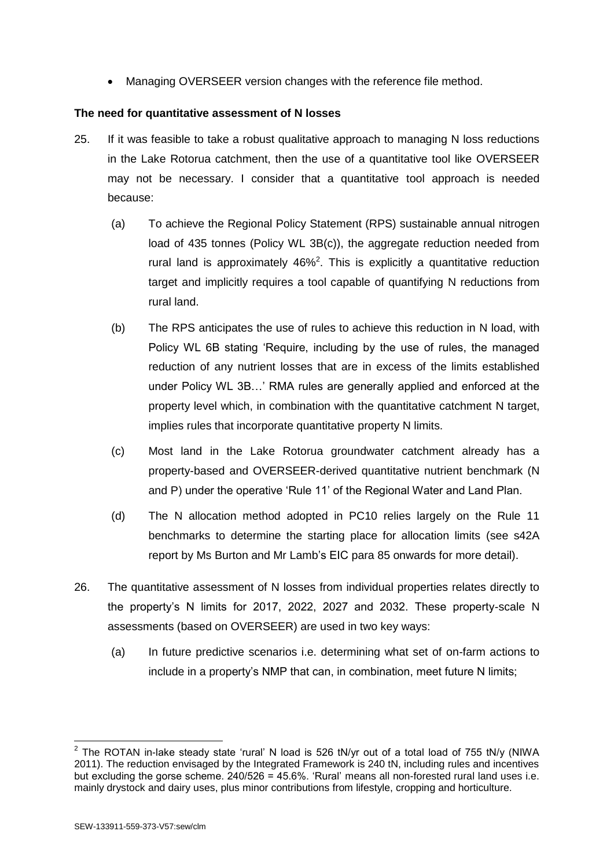Managing OVERSEER version changes with the reference file method.

### **The need for quantitative assessment of N losses**

- 25. If it was feasible to take a robust qualitative approach to managing N loss reductions in the Lake Rotorua catchment, then the use of a quantitative tool like OVERSEER may not be necessary. I consider that a quantitative tool approach is needed because:
	- (a) To achieve the Regional Policy Statement (RPS) sustainable annual nitrogen load of 435 tonnes (Policy WL 3B(c)), the aggregate reduction needed from rural land is approximately  $46\%^2$ . This is explicitly a quantitative reduction target and implicitly requires a tool capable of quantifying N reductions from rural land.
	- (b) The RPS anticipates the use of rules to achieve this reduction in N load, with Policy WL 6B stating 'Require, including by the use of rules, the managed reduction of any nutrient losses that are in excess of the limits established under Policy WL 3B…' RMA rules are generally applied and enforced at the property level which, in combination with the quantitative catchment N target, implies rules that incorporate quantitative property N limits.
	- (c) Most land in the Lake Rotorua groundwater catchment already has a property-based and OVERSEER-derived quantitative nutrient benchmark (N and P) under the operative 'Rule 11' of the Regional Water and Land Plan.
	- (d) The N allocation method adopted in PC10 relies largely on the Rule 11 benchmarks to determine the starting place for allocation limits (see s42A report by Ms Burton and Mr Lamb's EIC para 85 onwards for more detail).
- 26. The quantitative assessment of N losses from individual properties relates directly to the property's N limits for 2017, 2022, 2027 and 2032. These property-scale N assessments (based on OVERSEER) are used in two key ways:
	- (a) In future predictive scenarios i.e. determining what set of on-farm actions to include in a property's NMP that can, in combination, meet future N limits;

 2 The ROTAN in-lake steady state 'rural' N load is 526 tN/yr out of a total load of 755 tN/y (NIWA 2011). The reduction envisaged by the Integrated Framework is 240 tN, including rules and incentives but excluding the gorse scheme. 240/526 = 45.6%. 'Rural' means all non-forested rural land uses i.e. mainly drystock and dairy uses, plus minor contributions from lifestyle, cropping and horticulture.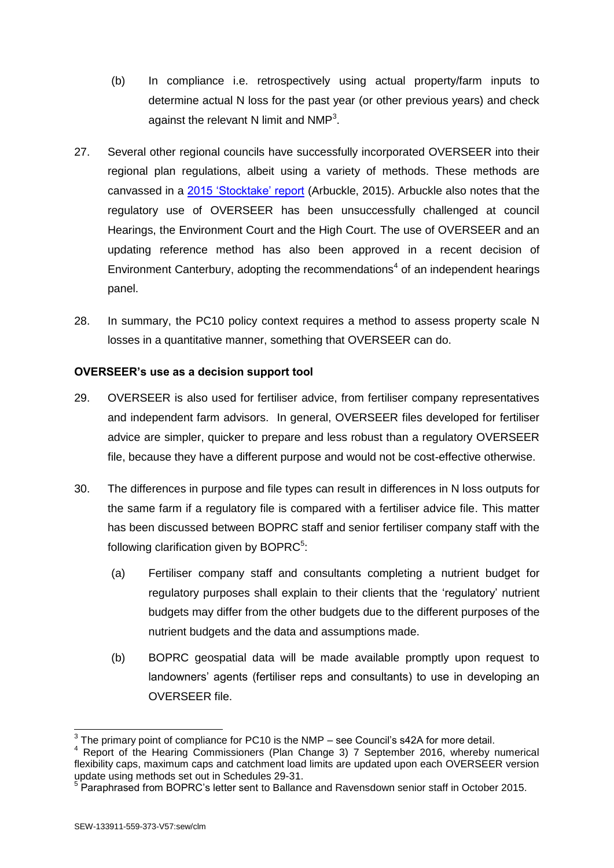- (b) In compliance i.e. retrospectively using actual property/farm inputs to determine actual N loss for the past year (or other previous years) and check against the relevant N limit and  $NMP<sup>3</sup>$ .
- 27. Several other regional councils have successfully incorporated OVERSEER into their regional plan regulations, albeit using a variety of methods. These methods are canvassed in a [2015 'Stocktake' report](http://overseer.org.nz/files/download/254238e8c9aa21d) (Arbuckle, 2015). Arbuckle also notes that the regulatory use of OVERSEER has been unsuccessfully challenged at council Hearings, the Environment Court and the High Court. The use of OVERSEER and an updating reference method has also been approved in a recent decision of Environment Canterbury, adopting the recommendations<sup>4</sup> of an independent hearings panel.
- 28. In summary, the PC10 policy context requires a method to assess property scale N losses in a quantitative manner, something that OVERSEER can do.

### **OVERSEER's use as a decision support tool**

- 29. OVERSEER is also used for fertiliser advice, from fertiliser company representatives and independent farm advisors. In general, OVERSEER files developed for fertiliser advice are simpler, quicker to prepare and less robust than a regulatory OVERSEER file, because they have a different purpose and would not be cost-effective otherwise.
- <span id="page-8-0"></span>30. The differences in purpose and file types can result in differences in N loss outputs for the same farm if a regulatory file is compared with a fertiliser advice file. This matter has been discussed between BOPRC staff and senior fertiliser company staff with the following clarification given by BOPRC $5$ :
	- (a) Fertiliser company staff and consultants completing a nutrient budget for regulatory purposes shall explain to their clients that the 'regulatory' nutrient budgets may differ from the other budgets due to the different purposes of the nutrient budgets and the data and assumptions made.
	- (b) BOPRC geospatial data will be made available promptly upon request to landowners' agents (fertiliser reps and consultants) to use in developing an OVERSEER file.

-

 $3$  The primary point of compliance for PC10 is the NMP – see Council's s42A for more detail.

<sup>&</sup>lt;sup>4</sup> Report of the Hearing Commissioners (Plan Change 3) 7 September 2016, whereby numerical flexibility caps, maximum caps and catchment load limits are updated upon each OVERSEER version update using methods set out in Schedules 29-31.<br><sup>5</sup> Persphrased from PODPC's letter sent to Belland

 $^5$  Paraphrased from BOPRC's letter sent to Ballance and Ravensdown senior staff in October 2015.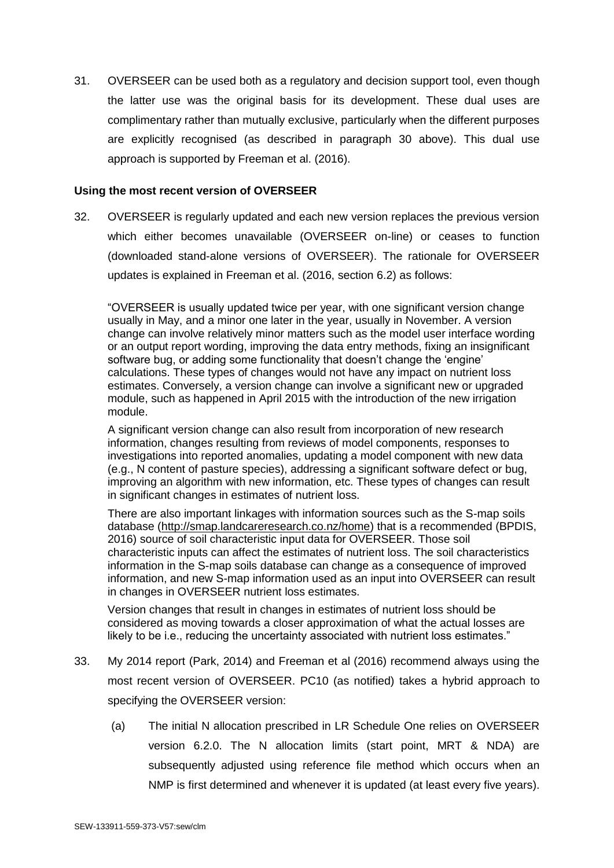31. OVERSEER can be used both as a regulatory and decision support tool, even though the latter use was the original basis for its development. These dual uses are complimentary rather than mutually exclusive, particularly when the different purposes are explicitly recognised (as described in paragraph [30](#page-8-0) above). This dual use approach is supported by Freeman et al. (2016).

#### **Using the most recent version of OVERSEER**

<span id="page-9-0"></span>32. OVERSEER is regularly updated and each new version replaces the previous version which either becomes unavailable (OVERSEER on-line) or ceases to function (downloaded stand-alone versions of OVERSEER). The rationale for OVERSEER updates is explained in Freeman et al. (2016, section 6.2) as follows:

"OVERSEER is usually updated twice per year, with one significant version change usually in May, and a minor one later in the year, usually in November. A version change can involve relatively minor matters such as the model user interface wording or an output report wording, improving the data entry methods, fixing an insignificant software bug, or adding some functionality that doesn't change the 'engine' calculations. These types of changes would not have any impact on nutrient loss estimates. Conversely, a version change can involve a significant new or upgraded module, such as happened in April 2015 with the introduction of the new irrigation module.

A significant version change can also result from incorporation of new research information, changes resulting from reviews of model components, responses to investigations into reported anomalies, updating a model component with new data (e.g., N content of pasture species), addressing a significant software defect or bug, improving an algorithm with new information, etc. These types of changes can result in significant changes in estimates of nutrient loss.

There are also important linkages with information sources such as the S-map soils database (http://smap.landcareresearch.co.nz/home) that is a recommended (BPDIS, 2016) source of soil characteristic input data for OVERSEER. Those soil characteristic inputs can affect the estimates of nutrient loss. The soil characteristics information in the S-map soils database can change as a consequence of improved information, and new S-map information used as an input into OVERSEER can result in changes in OVERSEER nutrient loss estimates.

Version changes that result in changes in estimates of nutrient loss should be considered as moving towards a closer approximation of what the actual losses are likely to be i.e., reducing the uncertainty associated with nutrient loss estimates."

- 33. My 2014 report (Park, 2014) and Freeman et al (2016) recommend always using the most recent version of OVERSEER. PC10 (as notified) takes a hybrid approach to specifying the OVERSEER version:
	- (a) The initial N allocation prescribed in LR Schedule One relies on OVERSEER version 6.2.0. The N allocation limits (start point, MRT & NDA) are subsequently adjusted using reference file method which occurs when an NMP is first determined and whenever it is updated (at least every five years).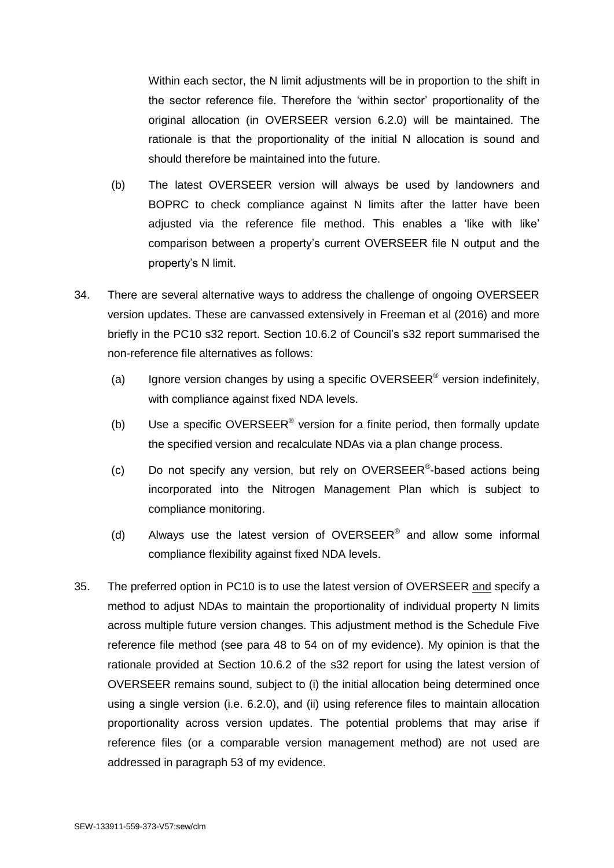Within each sector, the N limit adjustments will be in proportion to the shift in the sector reference file. Therefore the 'within sector' proportionality of the original allocation (in OVERSEER version 6.2.0) will be maintained. The rationale is that the proportionality of the initial N allocation is sound and should therefore be maintained into the future.

- (b) The latest OVERSEER version will always be used by landowners and BOPRC to check compliance against N limits after the latter have been adjusted via the reference file method. This enables a 'like with like' comparison between a property's current OVERSEER file N output and the property's N limit.
- <span id="page-10-1"></span>34. There are several alternative ways to address the challenge of ongoing OVERSEER version updates. These are canvassed extensively in Freeman et al (2016) and more briefly in the PC10 s32 report. Section 10.6.2 of Council's s32 report summarised the non-reference file alternatives as follows:
	- (a) Ignore version changes by using a specific OVERSEER<sup>®</sup> version indefinitely, with compliance against fixed NDA levels.
	- (b) Use a specific OVERSEER<sup>®</sup> version for a finite period, then formally update the specified version and recalculate NDAs via a plan change process.
	- (c) Do not specify any version, but rely on OVERSEER®-based actions being incorporated into the Nitrogen Management Plan which is subject to compliance monitoring.
	- (d) Always use the latest version of OVERSEER<sup>®</sup> and allow some informal compliance flexibility against fixed NDA levels.
- <span id="page-10-0"></span>35. The preferred option in PC10 is to use the latest version of OVERSEER and specify a method to adjust NDAs to maintain the proportionality of individual property N limits across multiple future version changes. This adjustment method is the Schedule Five reference file method (see para [48](#page-15-0) to [54](#page-18-1) on of my evidence). My opinion is that the rationale provided at Section 10.6.2 of the s32 report for using the latest version of OVERSEER remains sound, subject to (i) the initial allocation being determined once using a single version (i.e. 6.2.0), and (ii) using reference files to maintain allocation proportionality across version updates. The potential problems that may arise if reference files (or a comparable version management method) are not used are addressed in paragraph [53](#page-18-2) of my evidence.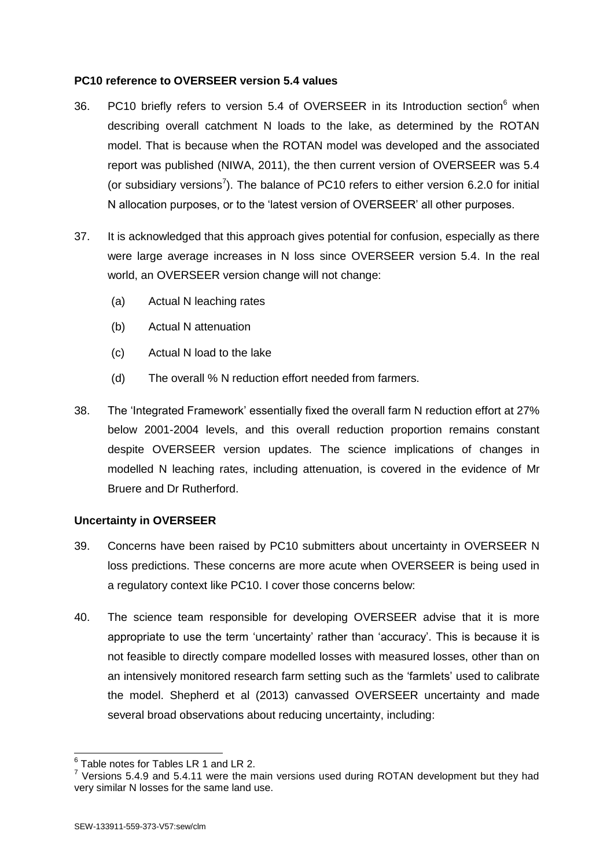### **PC10 reference to OVERSEER version 5.4 values**

- 36. PC10 briefly refers to version 5.4 of OVERSEER in its Introduction section<sup>6</sup> when describing overall catchment N loads to the lake, as determined by the ROTAN model. That is because when the ROTAN model was developed and the associated report was published (NIWA, 2011), the then current version of OVERSEER was 5.4 (or subsidiary versions<sup>7</sup>). The balance of PC10 refers to either version 6.2.0 for initial N allocation purposes, or to the 'latest version of OVERSEER' all other purposes.
- 37. It is acknowledged that this approach gives potential for confusion, especially as there were large average increases in N loss since OVERSEER version 5.4. In the real world, an OVERSEER version change will not change:
	- (a) Actual N leaching rates
	- (b) Actual N attenuation
	- (c) Actual N load to the lake
	- (d) The overall % N reduction effort needed from farmers.
- 38. The 'Integrated Framework' essentially fixed the overall farm N reduction effort at 27% below 2001-2004 levels, and this overall reduction proportion remains constant despite OVERSEER version updates. The science implications of changes in modelled N leaching rates, including attenuation, is covered in the evidence of Mr Bruere and Dr Rutherford.

### **Uncertainty in OVERSEER**

- 39. Concerns have been raised by PC10 submitters about uncertainty in OVERSEER N loss predictions. These concerns are more acute when OVERSEER is being used in a regulatory context like PC10. I cover those concerns below:
- 40. The science team responsible for developing OVERSEER advise that it is more appropriate to use the term 'uncertainty' rather than 'accuracy'. This is because it is not feasible to directly compare modelled losses with measured losses, other than on an intensively monitored research farm setting such as the 'farmlets' used to calibrate the model. Shepherd et al (2013) canvassed OVERSEER uncertainty and made several broad observations about reducing uncertainty, including:

 6 Table notes for Tables LR 1 and LR 2.

 $7$  Versions 5.4.9 and 5.4.11 were the main versions used during ROTAN development but they had very similar N losses for the same land use.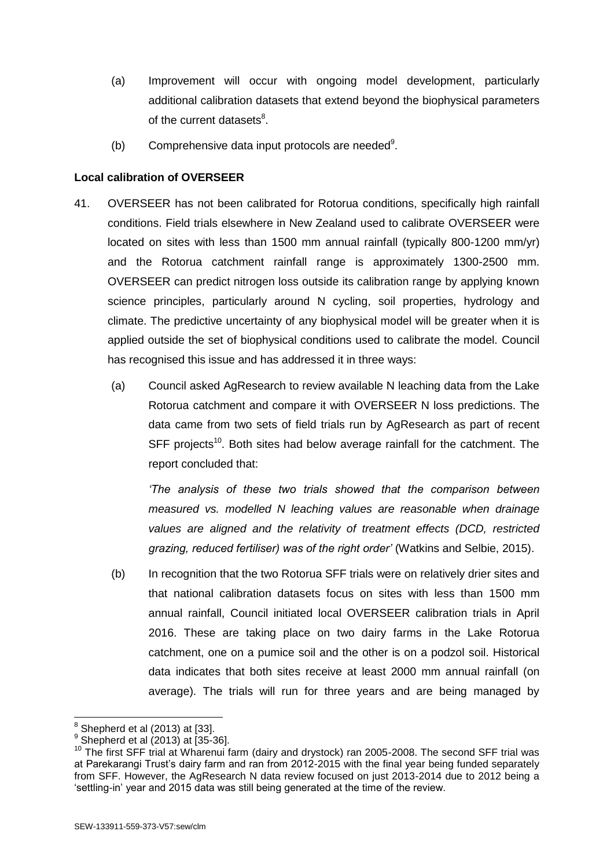- (a) Improvement will occur with ongoing model development, particularly additional calibration datasets that extend beyond the biophysical parameters of the current datasets<sup>8</sup>.
- (b) Comprehensive data input protocols are needed $9$ .

### **Local calibration of OVERSEER**

- <span id="page-12-0"></span>41. OVERSEER has not been calibrated for Rotorua conditions, specifically high rainfall conditions. Field trials elsewhere in New Zealand used to calibrate OVERSEER were located on sites with less than 1500 mm annual rainfall (typically 800-1200 mm/yr) and the Rotorua catchment rainfall range is approximately 1300-2500 mm. OVERSEER can predict nitrogen loss outside its calibration range by applying known science principles, particularly around N cycling, soil properties, hydrology and climate. The predictive uncertainty of any biophysical model will be greater when it is applied outside the set of biophysical conditions used to calibrate the model. Council has recognised this issue and has addressed it in three ways:
	- (a) Council asked AgResearch to review available N leaching data from the Lake Rotorua catchment and compare it with OVERSEER N loss predictions. The data came from two sets of field trials run by AgResearch as part of recent SFF projects<sup>10</sup>. Both sites had below average rainfall for the catchment. The report concluded that:

*'The analysis of these two trials showed that the comparison between measured vs. modelled N leaching values are reasonable when drainage values are aligned and the relativity of treatment effects (DCD, restricted grazing, reduced fertiliser) was of the right order'* (Watkins and Selbie, 2015).

(b) In recognition that the two Rotorua SFF trials were on relatively drier sites and that national calibration datasets focus on sites with less than 1500 mm annual rainfall, Council initiated local OVERSEER calibration trials in April 2016. These are taking place on two dairy farms in the Lake Rotorua catchment, one on a pumice soil and the other is on a podzol soil. Historical data indicates that both sites receive at least 2000 mm annual rainfall (on average). The trials will run for three years and are being managed by

 8 Shepherd et al (2013) at [33].

 $^{9}$  Shepherd et al (2013) at [35-36].

<sup>&</sup>lt;sup>10</sup> The first SFF trial at Wharenui farm (dairy and drystock) ran 2005-2008. The second SFF trial was at Parekarangi Trust's dairy farm and ran from 2012-2015 with the final year being funded separately from SFF. However, the AgResearch N data review focused on just 2013-2014 due to 2012 being a 'settling-in' year and 2015 data was still being generated at the time of the review.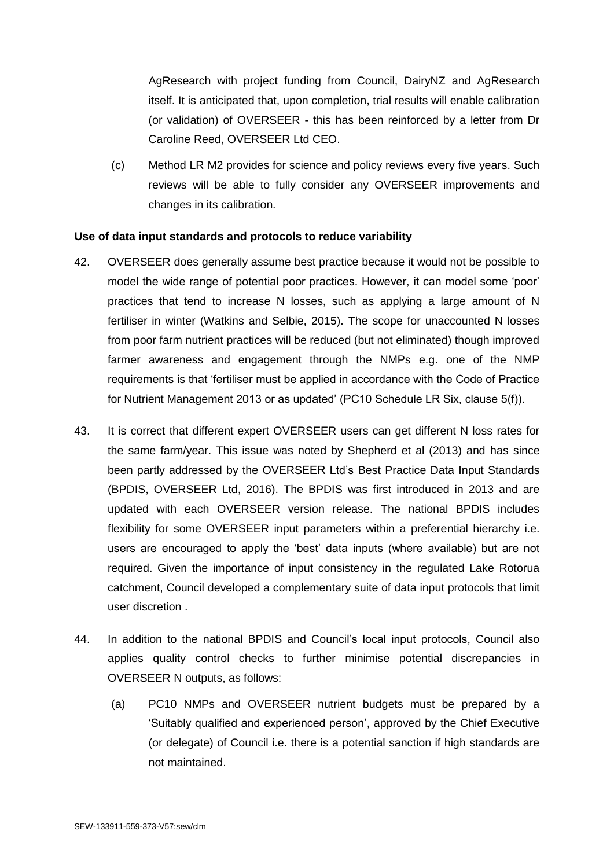AgResearch with project funding from Council, DairyNZ and AgResearch itself. It is anticipated that, upon completion, trial results will enable calibration (or validation) of OVERSEER - this has been reinforced by a letter from Dr Caroline Reed, OVERSEER Ltd CEO.

(c) Method LR M2 provides for science and policy reviews every five years. Such reviews will be able to fully consider any OVERSEER improvements and changes in its calibration.

#### **Use of data input standards and protocols to reduce variability**

- <span id="page-13-0"></span>42. OVERSEER does generally assume best practice because it would not be possible to model the wide range of potential poor practices. However, it can model some 'poor' practices that tend to increase N losses, such as applying a large amount of N fertiliser in winter (Watkins and Selbie, 2015). The scope for unaccounted N losses from poor farm nutrient practices will be reduced (but not eliminated) though improved farmer awareness and engagement through the NMPs e.g. one of the NMP requirements is that 'fertiliser must be applied in accordance with the Code of Practice for Nutrient Management 2013 or as updated' (PC10 Schedule LR Six, clause 5(f)).
- <span id="page-13-2"></span>43. It is correct that different expert OVERSEER users can get different N loss rates for the same farm/year. This issue was noted by Shepherd et al (2013) and has since been partly addressed by the OVERSEER Ltd's Best Practice Data Input Standards (BPDIS, OVERSEER Ltd, 2016). The BPDIS was first introduced in 2013 and are updated with each OVERSEER version release. The national BPDIS includes flexibility for some OVERSEER input parameters within a preferential hierarchy i.e. users are encouraged to apply the 'best' data inputs (where available) but are not required. Given the importance of input consistency in the regulated Lake Rotorua catchment, Council developed a complementary suite of data input protocols that limit user discretion .
- <span id="page-13-1"></span>44. In addition to the national BPDIS and Council's local input protocols, Council also applies quality control checks to further minimise potential discrepancies in OVERSEER N outputs, as follows:
	- (a) PC10 NMPs and OVERSEER nutrient budgets must be prepared by a 'Suitably qualified and experienced person', approved by the Chief Executive (or delegate) of Council i.e. there is a potential sanction if high standards are not maintained.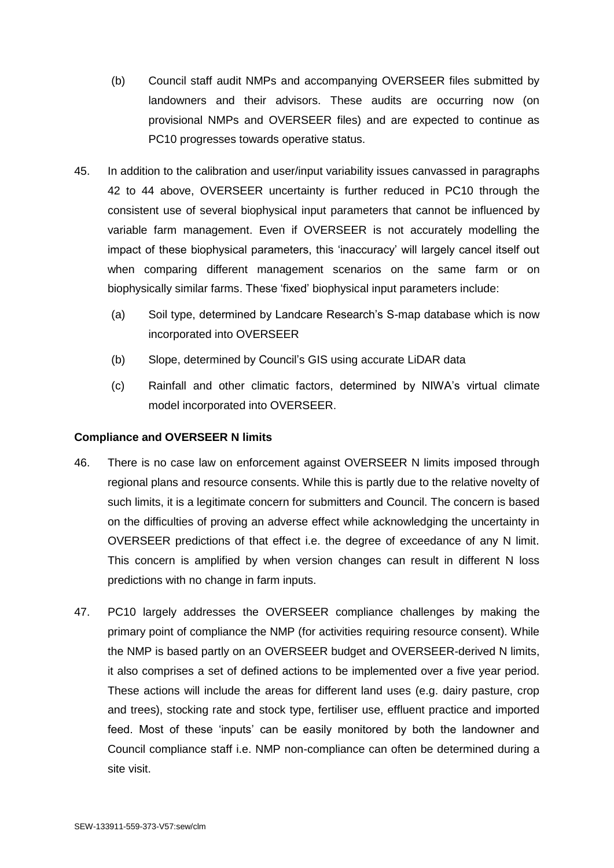- (b) Council staff audit NMPs and accompanying OVERSEER files submitted by landowners and their advisors. These audits are occurring now (on provisional NMPs and OVERSEER files) and are expected to continue as PC10 progresses towards operative status.
- 45. In addition to the calibration and user/input variability issues canvassed in paragraphs [42](#page-13-0) to [44](#page-13-1) above, OVERSEER uncertainty is further reduced in PC10 through the consistent use of several biophysical input parameters that cannot be influenced by variable farm management. Even if OVERSEER is not accurately modelling the impact of these biophysical parameters, this 'inaccuracy' will largely cancel itself out when comparing different management scenarios on the same farm or on biophysically similar farms. These 'fixed' biophysical input parameters include:
	- (a) Soil type, determined by Landcare Research's S-map database which is now incorporated into OVERSEER
	- (b) Slope, determined by Council's GIS using accurate LiDAR data
	- (c) Rainfall and other climatic factors, determined by NIWA's virtual climate model incorporated into OVERSEER.

### **Compliance and OVERSEER N limits**

- 46. There is no case law on enforcement against OVERSEER N limits imposed through regional plans and resource consents. While this is partly due to the relative novelty of such limits, it is a legitimate concern for submitters and Council. The concern is based on the difficulties of proving an adverse effect while acknowledging the uncertainty in OVERSEER predictions of that effect i.e. the degree of exceedance of any N limit. This concern is amplified by when version changes can result in different N loss predictions with no change in farm inputs.
- 47. PC10 largely addresses the OVERSEER compliance challenges by making the primary point of compliance the NMP (for activities requiring resource consent). While the NMP is based partly on an OVERSEER budget and OVERSEER-derived N limits, it also comprises a set of defined actions to be implemented over a five year period. These actions will include the areas for different land uses (e.g. dairy pasture, crop and trees), stocking rate and stock type, fertiliser use, effluent practice and imported feed. Most of these 'inputs' can be easily monitored by both the landowner and Council compliance staff i.e. NMP non-compliance can often be determined during a site visit.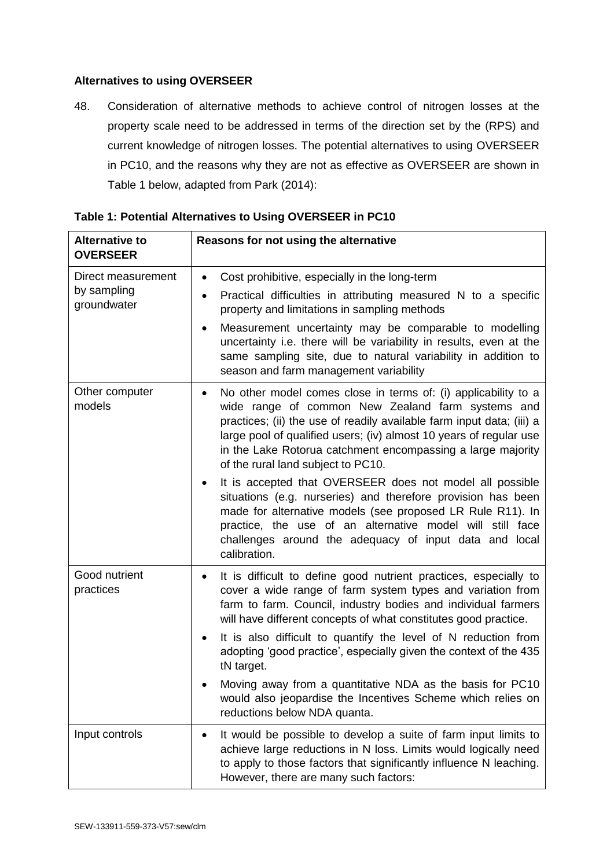### **Alternatives to using OVERSEER**

<span id="page-15-0"></span>48. Consideration of alternative methods to achieve control of nitrogen losses at the property scale need to be addressed in terms of the direction set by the (RPS) and current knowledge of nitrogen losses. The potential alternatives to using OVERSEER in PC10, and the reasons why they are not as effective as OVERSEER are shown in Table 1 below, adapted from Park (2014):

| <b>Alternative to</b><br><b>OVERSEER</b>         | Reasons for not using the alternative                                                                                                                                                                                                                                                                                                                                                                                                                                                |
|--------------------------------------------------|--------------------------------------------------------------------------------------------------------------------------------------------------------------------------------------------------------------------------------------------------------------------------------------------------------------------------------------------------------------------------------------------------------------------------------------------------------------------------------------|
| Direct measurement<br>by sampling<br>groundwater | Cost prohibitive, especially in the long-term<br>Practical difficulties in attributing measured N to a specific<br>٠<br>property and limitations in sampling methods<br>Measurement uncertainty may be comparable to modelling<br>uncertainty i.e. there will be variability in results, even at the<br>same sampling site, due to natural variability in addition to<br>season and farm management variability                                                                      |
| Other computer<br>models                         | No other model comes close in terms of: (i) applicability to a<br>$\bullet$<br>wide range of common New Zealand farm systems and<br>practices; (ii) the use of readily available farm input data; (iii) a<br>large pool of qualified users; (iv) almost 10 years of regular use<br>in the Lake Rotorua catchment encompassing a large majority<br>of the rural land subject to PC10.                                                                                                 |
|                                                  | It is accepted that OVERSEER does not model all possible<br>situations (e.g. nurseries) and therefore provision has been<br>made for alternative models (see proposed LR Rule R11). In<br>practice, the use of an alternative model will still face<br>challenges around the adequacy of input data and local<br>calibration.                                                                                                                                                        |
| Good nutrient<br>practices                       | It is difficult to define good nutrient practices, especially to<br>cover a wide range of farm system types and variation from<br>farm to farm. Council, industry bodies and individual farmers<br>will have different concepts of what constitutes good practice.<br>It is also difficult to quantify the level of N reduction from<br>adopting 'good practice', especially given the context of the 435<br>tN target.<br>Moving away from a quantitative NDA as the basis for PC10 |
|                                                  | would also jeopardise the Incentives Scheme which relies on<br>reductions below NDA quanta.                                                                                                                                                                                                                                                                                                                                                                                          |
| Input controls                                   | It would be possible to develop a suite of farm input limits to<br>$\bullet$<br>achieve large reductions in N loss. Limits would logically need<br>to apply to those factors that significantly influence N leaching.<br>However, there are many such factors:                                                                                                                                                                                                                       |

**Table 1: Potential Alternatives to Using OVERSEER in PC10**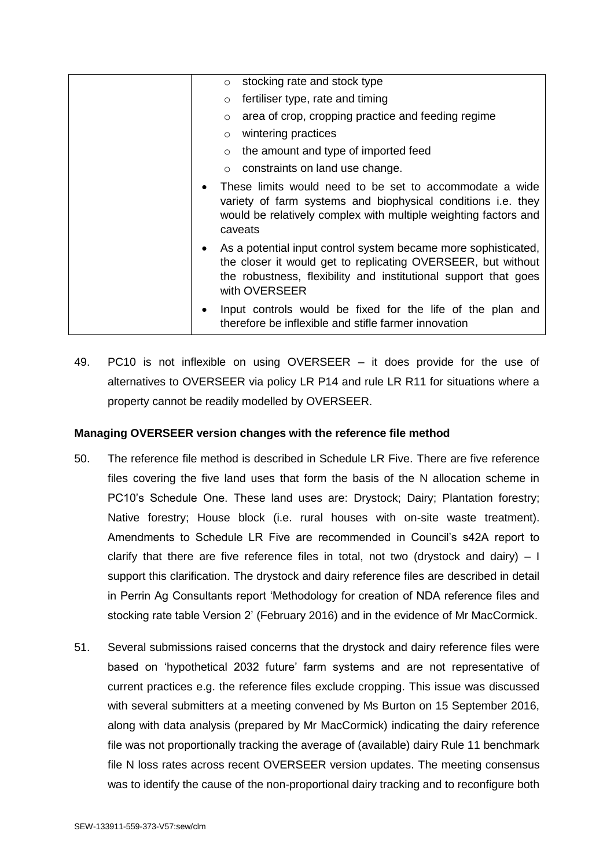| stocking rate and stock type<br>$\circ$                                                                                                                                                                            |
|--------------------------------------------------------------------------------------------------------------------------------------------------------------------------------------------------------------------|
| fertiliser type, rate and timing<br>$\circ$                                                                                                                                                                        |
| area of crop, cropping practice and feeding regime<br>$\circ$                                                                                                                                                      |
| wintering practices<br>$\circ$                                                                                                                                                                                     |
| the amount and type of imported feed<br>$\circ$                                                                                                                                                                    |
| constraints on land use change.<br>$\circ$                                                                                                                                                                         |
| These limits would need to be set to accommodate a wide<br>variety of farm systems and biophysical conditions i.e. they<br>would be relatively complex with multiple weighting factors and<br>caveats              |
| As a potential input control system became more sophisticated,<br>the closer it would get to replicating OVERSEER, but without<br>the robustness, flexibility and institutional support that goes<br>with OVERSEER |
| Input controls would be fixed for the life of the plan and<br>therefore be inflexible and stifle farmer innovation                                                                                                 |

<span id="page-16-0"></span>49. PC10 is not inflexible on using OVERSEER – it does provide for the use of alternatives to OVERSEER via policy LR P14 and rule LR R11 for situations where a property cannot be readily modelled by OVERSEER.

### **Managing OVERSEER version changes with the reference file method**

- <span id="page-16-1"></span>50. The reference file method is described in Schedule LR Five. There are five reference files covering the five land uses that form the basis of the N allocation scheme in PC10's Schedule One. These land uses are: Drystock; Dairy; Plantation forestry; Native forestry; House block (i.e. rural houses with on-site waste treatment). Amendments to Schedule LR Five are recommended in Council's s42A report to clarify that there are five reference files in total, not two (drystock and dairy)  $-1$ support this clarification. The drystock and dairy reference files are described in detail in Perrin Ag Consultants report 'Methodology for creation of NDA reference files and stocking rate table Version 2' (February 2016) and in the evidence of Mr MacCormick.
- <span id="page-16-2"></span>51. Several submissions raised concerns that the drystock and dairy reference files were based on 'hypothetical 2032 future' farm systems and are not representative of current practices e.g. the reference files exclude cropping. This issue was discussed with several submitters at a meeting convened by Ms Burton on 15 September 2016, along with data analysis (prepared by Mr MacCormick) indicating the dairy reference file was not proportionally tracking the average of (available) dairy Rule 11 benchmark file N loss rates across recent OVERSEER version updates. The meeting consensus was to identify the cause of the non-proportional dairy tracking and to reconfigure both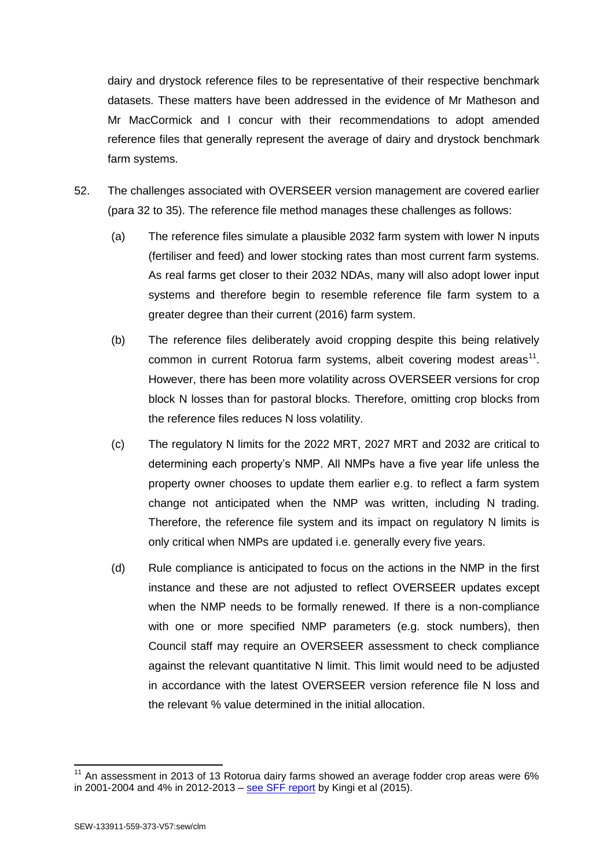dairy and drystock reference files to be representative of their respective benchmark datasets. These matters have been addressed in the evidence of Mr Matheson and Mr MacCormick and I concur with their recommendations to adopt amended reference files that generally represent the average of dairy and drystock benchmark farm systems.

- 52. The challenges associated with OVERSEER version management are covered earlier (para [32](#page-9-0) to [35\)](#page-10-0). The reference file method manages these challenges as follows:
	- (a) The reference files simulate a plausible 2032 farm system with lower N inputs (fertiliser and feed) and lower stocking rates than most current farm systems. As real farms get closer to their 2032 NDAs, many will also adopt lower input systems and therefore begin to resemble reference file farm system to a greater degree than their current (2016) farm system.
	- (b) The reference files deliberately avoid cropping despite this being relatively common in current Rotorua farm systems, albeit covering modest areas<sup>11</sup>. However, there has been more volatility across OVERSEER versions for crop block N losses than for pastoral blocks. Therefore, omitting crop blocks from the reference files reduces N loss volatility.
	- (c) The regulatory N limits for the 2022 MRT, 2027 MRT and 2032 are critical to determining each property's NMP. All NMPs have a five year life unless the property owner chooses to update them earlier e.g. to reflect a farm system change not anticipated when the NMP was written, including N trading. Therefore, the reference file system and its impact on regulatory N limits is only critical when NMPs are updated i.e. generally every five years.
	- (d) Rule compliance is anticipated to focus on the actions in the NMP in the first instance and these are not adjusted to reflect OVERSEER updates except when the NMP needs to be formally renewed. If there is a non-compliance with one or more specified NMP parameters (e.g. stock numbers), then Council staff may require an OVERSEER assessment to check compliance against the relevant quantitative N limit. This limit would need to be adjusted in accordance with the latest OVERSEER version reference file N loss and the relevant % value determined in the initial allocation.

-

 $11$  An assessment in 2013 of 13 Rotorua dairy farms showed an average fodder crop areas were 6% in 2001-2004 and 4% in 2012-2013 – [see SFF report](http://www.rotoruafarmers.org.nz/?p=2159) by Kingi et al (2015).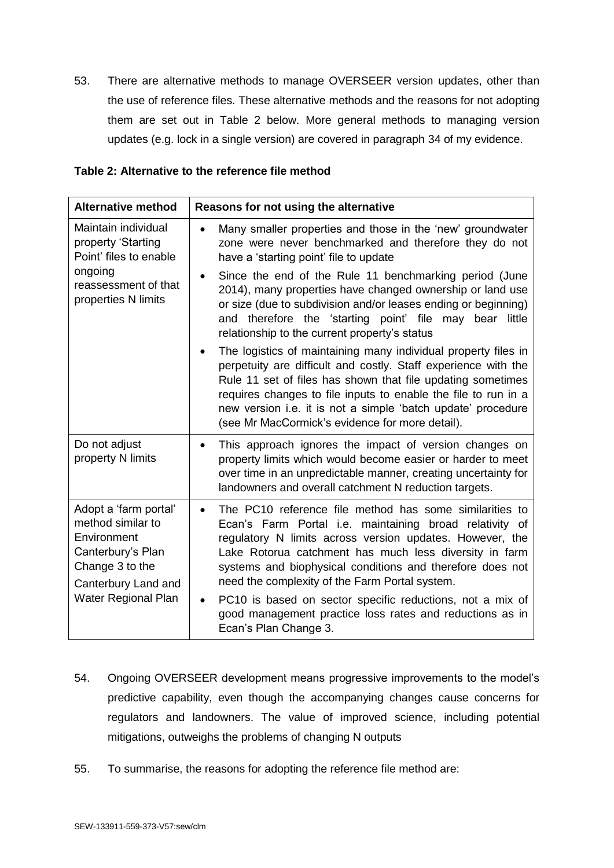<span id="page-18-2"></span>53. There are alternative methods to manage OVERSEER version updates, other than the use of reference files. These alternative methods and the reasons for not adopting them are set out in Table 2 below. More general methods to managing version updates (e.g. lock in a single version) are covered in paragraph [34](#page-10-1) of my evidence.

#### **Table 2: Alternative to the reference file method**

| <b>Alternative method</b>                                                                                                                       | Reasons for not using the alternative                                                                                                                                                                                                                                                                                                                                                                                                                                                                                                                                                                                                                                                                                                                                                                                                                                                             |
|-------------------------------------------------------------------------------------------------------------------------------------------------|---------------------------------------------------------------------------------------------------------------------------------------------------------------------------------------------------------------------------------------------------------------------------------------------------------------------------------------------------------------------------------------------------------------------------------------------------------------------------------------------------------------------------------------------------------------------------------------------------------------------------------------------------------------------------------------------------------------------------------------------------------------------------------------------------------------------------------------------------------------------------------------------------|
| Maintain individual<br>property 'Starting<br>Point' files to enable<br>ongoing<br>reassessment of that<br>properties N limits                   | Many smaller properties and those in the 'new' groundwater<br>$\bullet$<br>zone were never benchmarked and therefore they do not<br>have a 'starting point' file to update<br>Since the end of the Rule 11 benchmarking period (June<br>$\bullet$<br>2014), many properties have changed ownership or land use<br>or size (due to subdivision and/or leases ending or beginning)<br>and therefore the 'starting point' file may bear little<br>relationship to the current property's status<br>The logistics of maintaining many individual property files in<br>$\bullet$<br>perpetuity are difficult and costly. Staff experience with the<br>Rule 11 set of files has shown that file updating sometimes<br>requires changes to file inputs to enable the file to run in a<br>new version i.e. it is not a simple 'batch update' procedure<br>(see Mr MacCormick's evidence for more detail). |
| Do not adjust<br>property N limits                                                                                                              | This approach ignores the impact of version changes on<br>$\bullet$<br>property limits which would become easier or harder to meet<br>over time in an unpredictable manner, creating uncertainty for<br>landowners and overall catchment N reduction targets.                                                                                                                                                                                                                                                                                                                                                                                                                                                                                                                                                                                                                                     |
| Adopt a 'farm portal'<br>method similar to<br>Environment<br>Canterbury's Plan<br>Change 3 to the<br>Canterbury Land and<br>Water Regional Plan | The PC10 reference file method has some similarities to<br>$\bullet$<br>Ecan's Farm Portal i.e. maintaining broad relativity of<br>regulatory N limits across version updates. However, the<br>Lake Rotorua catchment has much less diversity in farm<br>systems and biophysical conditions and therefore does not<br>need the complexity of the Farm Portal system.<br>PC10 is based on sector specific reductions, not a mix of<br>$\bullet$<br>good management practice loss rates and reductions as in<br>Ecan's Plan Change 3.                                                                                                                                                                                                                                                                                                                                                               |

- <span id="page-18-1"></span>54. Ongoing OVERSEER development means progressive improvements to the model's predictive capability, even though the accompanying changes cause concerns for regulators and landowners. The value of improved science, including potential mitigations, outweighs the problems of changing N outputs
- <span id="page-18-0"></span>55. To summarise, the reasons for adopting the reference file method are: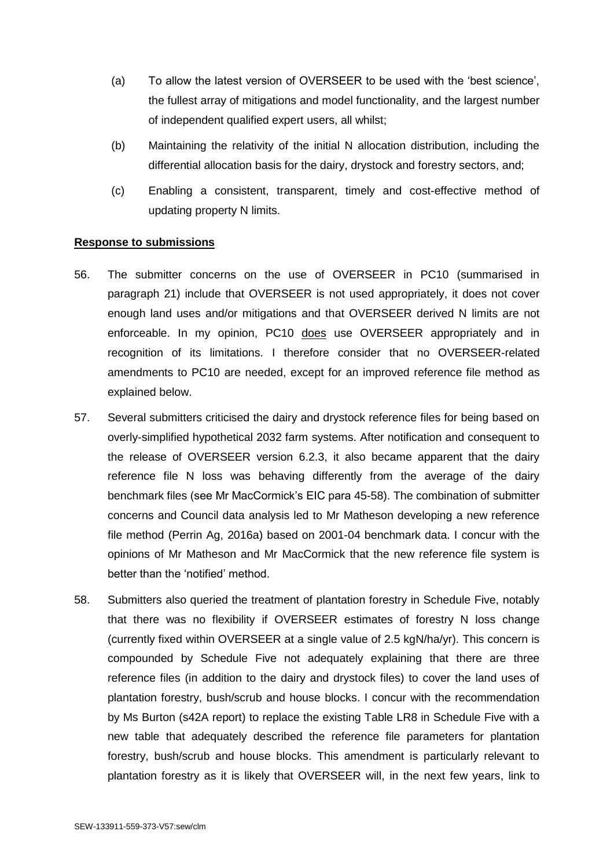- (a) To allow the latest version of OVERSEER to be used with the 'best science', the fullest array of mitigations and model functionality, and the largest number of independent qualified expert users, all whilst;
- (b) Maintaining the relativity of the initial N allocation distribution, including the differential allocation basis for the dairy, drystock and forestry sectors, and;
- (c) Enabling a consistent, transparent, timely and cost-effective method of updating property N limits.

#### **Response to submissions**

- 56. The submitter concerns on the use of OVERSEER in PC10 (summarised in paragraph [21\)](#page-6-0) include that OVERSEER is not used appropriately, it does not cover enough land uses and/or mitigations and that OVERSEER derived N limits are not enforceable. In my opinion, PC10 does use OVERSEER appropriately and in recognition of its limitations. I therefore consider that no OVERSEER-related amendments to PC10 are needed, except for an improved reference file method as explained below.
- 57. Several submitters criticised the dairy and drystock reference files for being based on overly-simplified hypothetical 2032 farm systems. After notification and consequent to the release of OVERSEER version 6.2.3, it also became apparent that the dairy reference file N loss was behaving differently from the average of the dairy benchmark files (see Mr MacCormick's EIC para 45-58). The combination of submitter concerns and Council data analysis led to Mr Matheson developing a new reference file method (Perrin Ag, 2016a) based on 2001-04 benchmark data. I concur with the opinions of Mr Matheson and Mr MacCormick that the new reference file system is better than the 'notified' method.
- 58. Submitters also queried the treatment of plantation forestry in Schedule Five, notably that there was no flexibility if OVERSEER estimates of forestry N loss change (currently fixed within OVERSEER at a single value of 2.5 kgN/ha/yr). This concern is compounded by Schedule Five not adequately explaining that there are three reference files (in addition to the dairy and drystock files) to cover the land uses of plantation forestry, bush/scrub and house blocks. I concur with the recommendation by Ms Burton (s42A report) to replace the existing Table LR8 in Schedule Five with a new table that adequately described the reference file parameters for plantation forestry, bush/scrub and house blocks. This amendment is particularly relevant to plantation forestry as it is likely that OVERSEER will, in the next few years, link to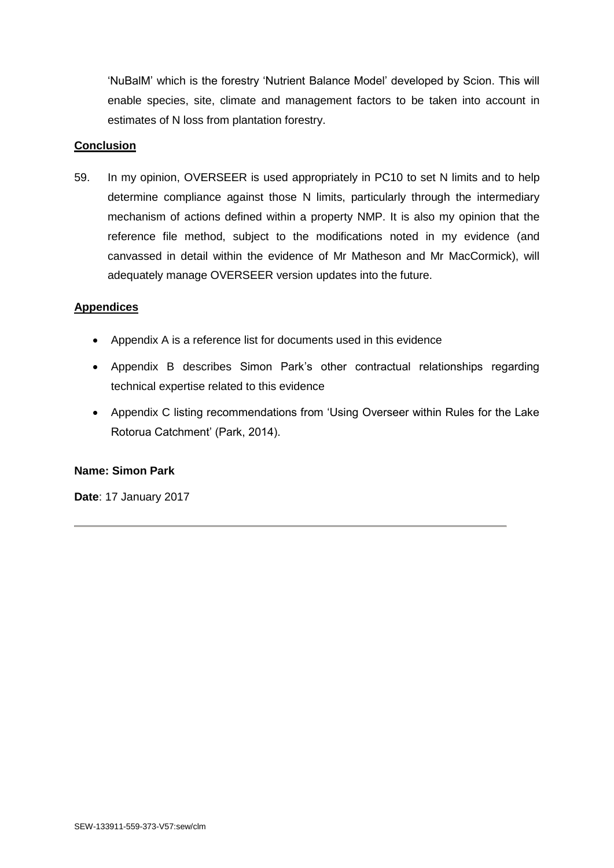'NuBalM' which is the forestry 'Nutrient Balance Model' developed by Scion. This will enable species, site, climate and management factors to be taken into account in estimates of N loss from plantation forestry.

### **Conclusion**

59. In my opinion, OVERSEER is used appropriately in PC10 to set N limits and to help determine compliance against those N limits, particularly through the intermediary mechanism of actions defined within a property NMP. It is also my opinion that the reference file method, subject to the modifications noted in my evidence (and canvassed in detail within the evidence of Mr Matheson and Mr MacCormick), will adequately manage OVERSEER version updates into the future.

### **Appendices**

- Appendix A is a reference list for documents used in this evidence
- Appendix B describes Simon Park's other contractual relationships regarding technical expertise related to this evidence
- Appendix C listing recommendations from 'Using Overseer within Rules for the Lake Rotorua Catchment' (Park, 2014).

# **Name: Simon Park**

**Date**: 17 January 2017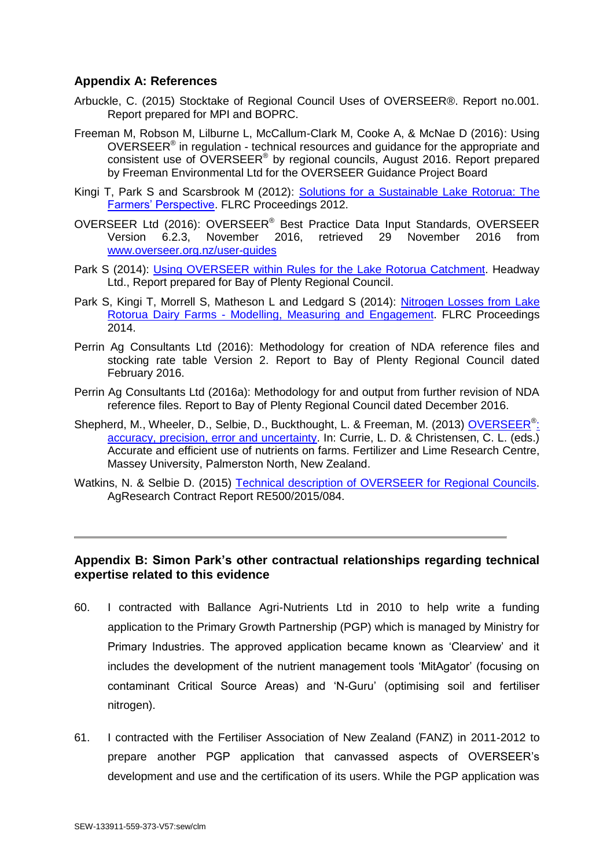# **Appendix A: References**

- Arbuckle, C. (2015) Stocktake of Regional Council Uses of OVERSEER®. Report no.001. Report prepared for MPI and BOPRC.
- Freeman M, Robson M, Lilburne L, McCallum-Clark M, Cooke A, & McNae D (2016): Using OVERSEER<sup>®</sup> in regulation - technical resources and guidance for the appropriate and consistent use of OVERSEER<sup>®</sup> by regional councils, August 2016. Report prepared by Freeman Environmental Ltd for the OVERSEER Guidance Project Board
- Kingi T, Park S and Scarsbrook M (2012): Solutions for a Sustainable Lake Rotorua: The [Farmers' Perspective.](http://www.massey.ac.nz/~flrc/workshops/12/Manuscripts/Kingi_2012.pdf) FLRC Proceedings 2012.
- OVERSEER Ltd (2016): OVERSEER® Best Practice Data Input Standards, OVERSEER Version 6.2.3, November 2016, retrieved 29 November 2016 from [www.overseer.org.nz/user-guides](http://www.overseer.org.nz/user-guides)
- Park S (2014): [Using OVERSEER within Rules for the Lake Rotorua Catchment.](http://www.rotorualakes.co.nz/vdb/document/694) Headway Ltd., Report prepared for Bay of Plenty Regional Council.
- Park S, Kingi T, Morrell S, Matheson L and Ledgard S (2014): [Nitrogen Losses from](http://www.massey.ac.nz/~flrc/workshops/14/Manuscripts/Paper_Park_2014.pdf) Lake Rotorua Dairy Farms - [Modelling, Measuring and](http://www.massey.ac.nz/~flrc/workshops/14/Manuscripts/Paper_Park_2014.pdf) Engagement. FLRC Proceedings 2014.
- Perrin Ag Consultants Ltd (2016): Methodology for creation of NDA reference files and stocking rate table Version 2. Report to Bay of Plenty Regional Council dated February 2016.
- Perrin Ag Consultants Ltd (2016a): Methodology for and output from further revision of NDA reference files. Report to Bay of Plenty Regional Council dated December 2016.
- Shepherd, M., Wheeler, D., Selbie, D., Buckthought, L. & Freeman, M. (2013) [OVERSEER](http://www.massey.ac.nz/~flrc/workshops/13/Manuscripts/Paper_Shepherd_2_2013.pdf)<sup>®</sup>: [accuracy, precision, error and uncertainty.](http://www.massey.ac.nz/~flrc/workshops/13/Manuscripts/Paper_Shepherd_2_2013.pdf) In: Currie, L. D. & Christensen, C. L. (eds.) Accurate and efficient use of nutrients on farms. Fertilizer and Lime Research Centre, Massey University, Palmerston North, New Zealand.
- Watkins, N. & Selbie D. (2015) [Technical description of OVERSEER for Regional Councils.](http://overseer.org.nz/files/download/3575c5f091157fe) AgResearch Contract Report RE500/2015/084.

### **Appendix B: Simon Park's other contractual relationships regarding technical expertise related to this evidence**

- 60. I contracted with Ballance Agri-Nutrients Ltd in 2010 to help write a funding application to the Primary Growth Partnership (PGP) which is managed by Ministry for Primary Industries. The approved application became known as 'Clearview' and it includes the development of the nutrient management tools 'MitAgator' (focusing on contaminant Critical Source Areas) and 'N-Guru' (optimising soil and fertiliser nitrogen).
- 61. I contracted with the Fertiliser Association of New Zealand (FANZ) in 2011-2012 to prepare another PGP application that canvassed aspects of OVERSEER's development and use and the certification of its users. While the PGP application was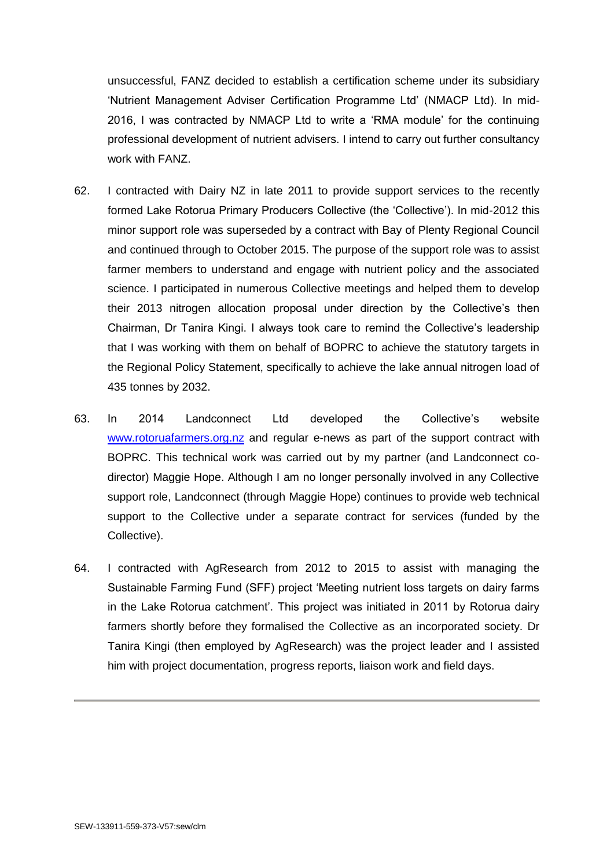unsuccessful, FANZ decided to establish a certification scheme under its subsidiary 'Nutrient Management Adviser Certification Programme Ltd' (NMACP Ltd). In mid-2016, I was contracted by NMACP Ltd to write a 'RMA module' for the continuing professional development of nutrient advisers. I intend to carry out further consultancy work with FANZ.

- 62. I contracted with Dairy NZ in late 2011 to provide support services to the recently formed Lake Rotorua Primary Producers Collective (the 'Collective'). In mid-2012 this minor support role was superseded by a contract with Bay of Plenty Regional Council and continued through to October 2015. The purpose of the support role was to assist farmer members to understand and engage with nutrient policy and the associated science. I participated in numerous Collective meetings and helped them to develop their 2013 nitrogen allocation proposal under direction by the Collective's then Chairman, Dr Tanira Kingi. I always took care to remind the Collective's leadership that I was working with them on behalf of BOPRC to achieve the statutory targets in the Regional Policy Statement, specifically to achieve the lake annual nitrogen load of 435 tonnes by 2032.
- 63. In 2014 Landconnect Ltd developed the Collective's website [www.rotoruafarmers.org.nz](http://www.rotoruafarmers.org.nz/) and regular e-news as part of the support contract with BOPRC. This technical work was carried out by my partner (and Landconnect codirector) Maggie Hope. Although I am no longer personally involved in any Collective support role, Landconnect (through Maggie Hope) continues to provide web technical support to the Collective under a separate contract for services (funded by the Collective).
- 64. I contracted with AgResearch from 2012 to 2015 to assist with managing the Sustainable Farming Fund (SFF) project 'Meeting nutrient loss targets on dairy farms in the Lake Rotorua catchment'. This project was initiated in 2011 by Rotorua dairy farmers shortly before they formalised the Collective as an incorporated society. Dr Tanira Kingi (then employed by AgResearch) was the project leader and I assisted him with project documentation, progress reports, liaison work and field days.